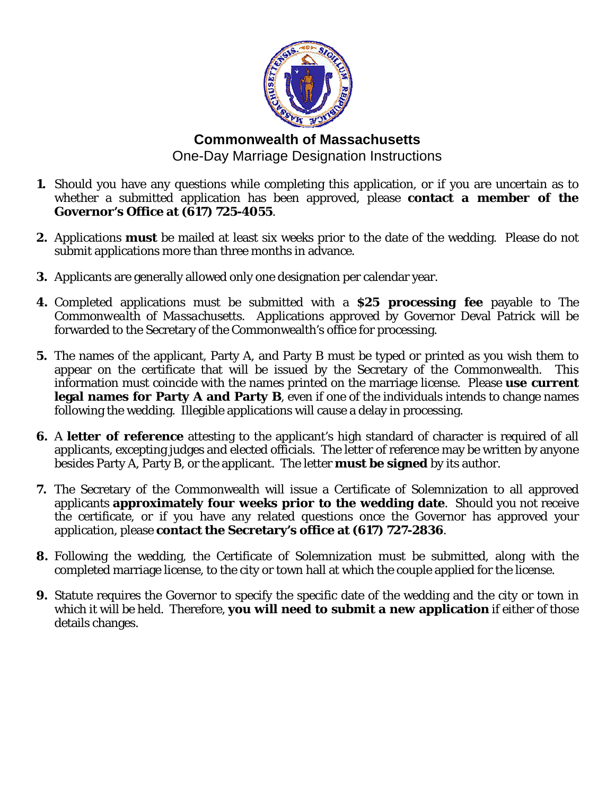

## **Commonwealth of Massachusetts**  One-Day Marriage Designation Instructions

- **1.** Should you have any questions while completing this application, or if you are uncertain as to whether a submitted application has been approved, please **contact a member of the Governor's Office at (617) 725-4055**.
- **2.** Applications **must** be mailed at least six weeks prior to the date of the wedding. Please do not submit applications more than three months in advance.
- **3.** Applicants are generally allowed only one designation per calendar year.
- **4.** Completed applications must be submitted with a **\$25 processing fee** payable to *The Commonwealth of Massachusetts*. Applications approved by Governor Deval Patrick will be forwarded to the Secretary of the Commonwealth's office for processing.
- **5.** The names of the applicant, Party A, and Party B must be typed or printed as you wish them to appear on the certificate that will be issued by the Secretary of the Commonwealth. This information must coincide with the names printed on the marriage license. Please **use current legal names for Party A and Party B**, even if one of the individuals intends to change names following the wedding. Illegible applications will cause a delay in processing.
- **6.** A **letter of reference** attesting to the applicant's high standard of character is required of all applicants, excepting judges and elected officials. The letter of reference may be written by anyone besides Party A, Party B, or the applicant. The letter **must be signed** by its author.
- **7.** The Secretary of the Commonwealth will issue a Certificate of Solemnization to all approved applicants **approximately four weeks prior to the wedding date**. Should you not receive the certificate, or if you have any related questions once the Governor has approved your application, please **contact the Secretary's office at (617) 727-2836**.
- **8.** Following the wedding, the Certificate of Solemnization must be submitted, along with the completed marriage license, to the city or town hall at which the couple applied for the license.
- **9.** Statute requires the Governor to specify the specific date of the wedding and the city or town in which it will be held. Therefore, **you will need to submit a new application** if either of those details changes.